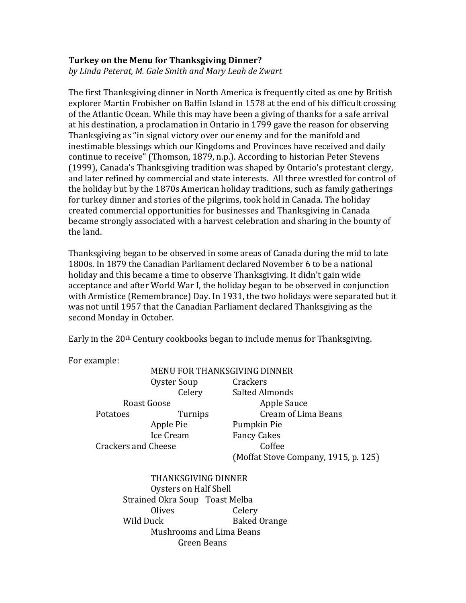## **Turkey on the Menu for Thanksgiving Dinner?**

*by Linda Peterat, M. Gale Smith and Mary Leah de Zwart*

The first Thanksgiving dinner in North America is frequently cited as one by British explorer Martin Frobisher on Baffin Island in 1578 at the end of his difficult crossing of the Atlantic Ocean. While this may have been a giving of thanks for a safe arrival at his destination, a proclamation in Ontario in 1799 gave the reason for observing Thanksgiving as "in signal victory over our enemy and for the manifold and inestimable blessings which our Kingdoms and Provinces have received and daily continue to receive" (Thomson, 1879, n.p.). According to historian Peter Stevens (1999), Canada's Thanksgiving tradition was shaped by Ontario's protestant clergy, and later refined by commercial and state interests. All three wrestled for control of the holiday but by the 1870s American holiday traditions, such as family gatherings for turkey dinner and stories of the pilgrims, took hold in Canada. The holiday created commercial opportunities for businesses and Thanksgiving in Canada became strongly associated with a harvest celebration and sharing in the bounty of the land.

Thanksgiving began to be observed in some areas of Canada during the mid to late 1800s. In 1879 the Canadian Parliament declared November 6 to be a national holiday and this became a time to observe Thanksgiving. It didn't gain wide acceptance and after World War I, the holiday began to be observed in conjunction with Armistice (Remembrance) Day. In 1931, the two holidays were separated but it was not until 1957 that the Canadian Parliament declared Thanksgiving as the second Monday in October.

Early in the 20<sup>th</sup> Century cookbooks began to include menus for Thanksgiving.

For example:

|                                |                     | <b>MENU FOR THANKSGIVING DINNER</b>  |
|--------------------------------|---------------------|--------------------------------------|
|                                | Oyster Soup         | Crackers                             |
|                                | Celery              | <b>Salted Almonds</b>                |
| Roast Goose                    |                     | Apple Sauce                          |
| Potatoes                       | Turnips             | <b>Cream of Lima Beans</b>           |
|                                | Apple Pie           | Pumpkin Pie                          |
| Ice Cream                      |                     | <b>Fancy Cakes</b>                   |
| <b>Crackers and Cheese</b>     |                     | Coffee                               |
|                                |                     | (Moffat Stove Company, 1915, p. 125) |
|                                | THANKSGIVING DINNER |                                      |
| Oysters on Half Shell          |                     |                                      |
| Strained Okra Soup Toast Melba |                     |                                      |
|                                | Olives              | Celery                               |
| Wild Duck                      |                     | <b>Rakod Orango</b>                  |

Wild Duck Baked Orange Mushrooms and Lima Beans Green Beans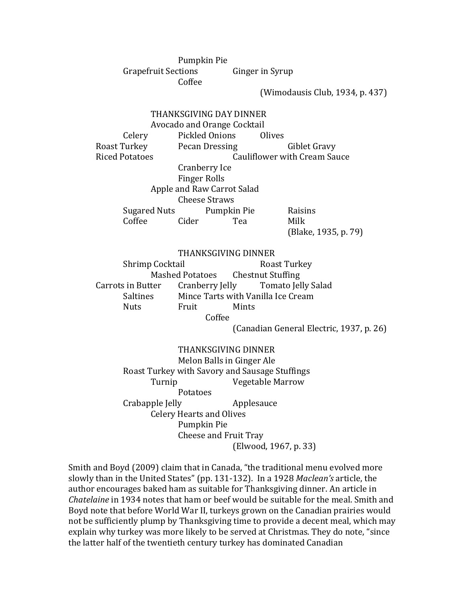Pumpkin Pie Grapefruit Sections Ginger in Syrup Coffee

(Wimodausis Club, 1934, p. 437)

THANKSGIVING DAY DINNER Avocado and Orange Cocktail Celery Pickled Onions Olives Roast Turkey Pecan Dressing Giblet Gravy Riced Potatoes Cauliflower with Cream Sauce Cranberry Ice Finger Rolls Apple and Raw Carrot Salad Cheese Straws Sugared Nuts Pumpkin Pie Raisins Coffee Cider Tea Milk (Blake, 1935, p. 79) THANKSGIVING DINNER Shrimp Cocktail **Roast Turkey** Mashed Potatoes Chestnut Stuffing Carrots in Butter Cranberry Jelly Tomato Jelly Salad Saltines Mince Tarts with Vanilla Ice Cream Nuts Fruit Mints Coffee (Canadian General Electric, 1937, p. 26) THANKSGIVING DINNER Melon Balls in Ginger Ale

Roast Turkey with Savory and Sausage Stuffings Turnip Vegetable Marrow Potatoes Crabapple Jelly Applesauce Celery Hearts and Olives Pumpkin Pie Cheese and Fruit Tray (Elwood, 1967, p. 33)

Smith and Boyd (2009) claim that in Canada, "the traditional menu evolved more slowly than in the United States" (pp. 131-132). In a 1928 *Maclean's* article, the author encourages baked ham as suitable for Thanksgiving dinner. An article in *Chatelaine* in 1934 notes that ham or beef would be suitable for the meal. Smith and Boyd note that before World War II, turkeys grown on the Canadian prairies would not be sufficiently plump by Thanksgiving time to provide a decent meal, which may explain why turkey was more likely to be served at Christmas. They do note, "since the latter half of the twentieth century turkey has dominated Canadian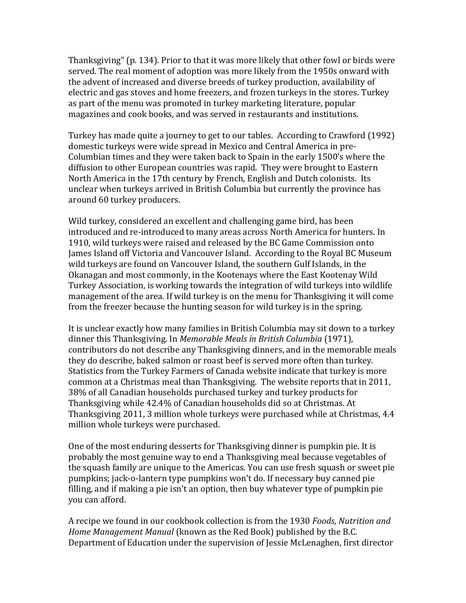Thanksgiving" (p. 134). Prior to that it was more likely that other fowl or birds were served. The real moment of adoption was more likely from the 1950s onward with the advent of increased and diverse breeds of turkey production, availability of electric and gas stoves and home freezers, and frozen turkeys in the stores. Turkey as part of the menu was promoted in turkey marketing literature, popular magazines and cook books, and was served in restaurants and institutions.

Turkey has made quite a journey to get to our tables. According to Crawford (1992) domestic turkeys were wide spread in Mexico and Central America in pre-Columbian times and they were taken back to Spain in the early 1500's where the diffusion to other European countries was rapid. They were brought to Eastern North America in the 17th century by French, English and Dutch colonists. Its unclear when turkeys arrived in British Columbia but currently the province has around 60 turkey producers.

Wild turkey, considered an excellent and challenging game bird, has been introduced and re-introduced to many areas across North America for hunters. In 1910, wild turkeys were raised and released by the BC Game Commission onto James Island off Victoria and Vancouver Island. According to the Royal BC Museum wild turkeys are found on Vancouver Island, the southern Gulf Islands, in the Okanagan and most commonly, in the Kootenays where the East Kootenay Wild Turkey Association, is working towards the integration of wild turkeys into wildlife management of the area. If wild turkey is on the menu for Thanksgiving it will come from the freezer because the hunting season for wild turkey is in the spring.

It is unclear exactly how many families in British Columbia may sit down to a turkey dinner this Thanksgiving. In *Memorable Meals in British Columbia* (1971), contributors do not describe any Thanksgiving dinners, and in the memorable meals they do describe, baked salmon or roast beef is served more often than turkey. Statistics from the Turkey Farmers of Canada website indicate that turkey is more common at a Christmas meal than Thanksgiving. The website reports that in 2011, 38% of all Canadian households purchased turkey and turkey products for Thanksgiving while 42.4% of Canadian households did so at Christmas. At Thanksgiving 2011, 3 million whole turkeys were purchased while at Christmas, 4.4 million whole turkeys were purchased.

One of the most enduring desserts for Thanksgiving dinner is pumpkin pie. It is probably the most genuine way to end a Thanksgiving meal because vegetables of the squash family are unique to the Americas. You can use fresh squash or sweet pie pumpkins; jack-o-lantern type pumpkins won't do. If necessary buy canned pie filling, and if making a pie isn't an option, then buy whatever type of pumpkin pie you can afford.

A recipe we found in our cookbook collection is from the 1930 *Foods, Nutrition and Home Management Manual* (known as the Red Book) published by the B.C. Department of Education under the supervision of Jessie McLenaghen, first director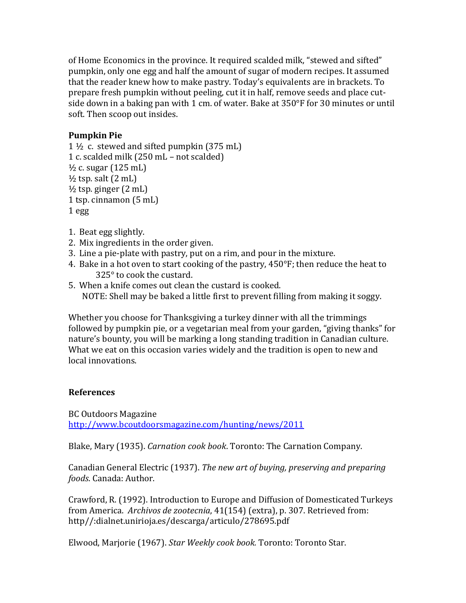of Home Economics in the province. It required scalded milk, "stewed and sifted" pumpkin, only one egg and half the amount of sugar of modern recipes. It assumed that the reader knew how to make pastry. Today's equivalents are in brackets. To prepare fresh pumpkin without peeling, cut it in half, remove seeds and place cutside down in a baking pan with 1 cm. of water. Bake at 350°F for 30 minutes or until soft. Then scoop out insides.

## **Pumpkin Pie**

```
1\frac{1}{2} c. stewed and sifted pumpkin (375 mL)
1 c. scalded milk (250 mL – not scalded)
\frac{1}{2} c. sugar (125 mL)
\frac{1}{2} tsp. salt (2 mL)
\frac{1}{2} tsp. ginger (2 mL)
1 tsp. cinnamon (5 mL)
1 egg
```
- 1. Beat egg slightly.
- 2. Mix ingredients in the order given.
- 3. Line a pie-plate with pastry, put on a rim, and pour in the mixture.
- 4. Bake in a hot oven to start cooking of the pastry, 450°F; then reduce the heat to 325° to cook the custard.
- 5. When a knife comes out clean the custard is cooked. NOTE: Shell may be baked a little first to prevent filling from making it soggy.

Whether you choose for Thanksgiving a turkey dinner with all the trimmings followed by pumpkin pie, or a vegetarian meal from your garden, "giving thanks" for nature's bounty, you will be marking a long standing tradition in Canadian culture. What we eat on this occasion varies widely and the tradition is open to new and local innovations.

## **References**

BC Outdoors Magazine <http://www.bcoutdoorsmagazine.com/hunting/news/2011>

Blake, Mary (1935). *Carnation cook book*. Toronto: The Carnation Company.

Canadian General Electric (1937). *The new art of buying, preserving and preparing foods*. Canada: Author.

Crawford, R. (1992). Introduction to Europe and Diffusion of Domesticated Turkeys from America. *Archivos de zootecnia*, 41(154) (extra), p. 307. Retrieved from: http//:dialnet.unirioja.es/descarga/articulo/278695.pdf

Elwood, Marjorie (1967). *Star Weekly cook book.* Toronto: Toronto Star.